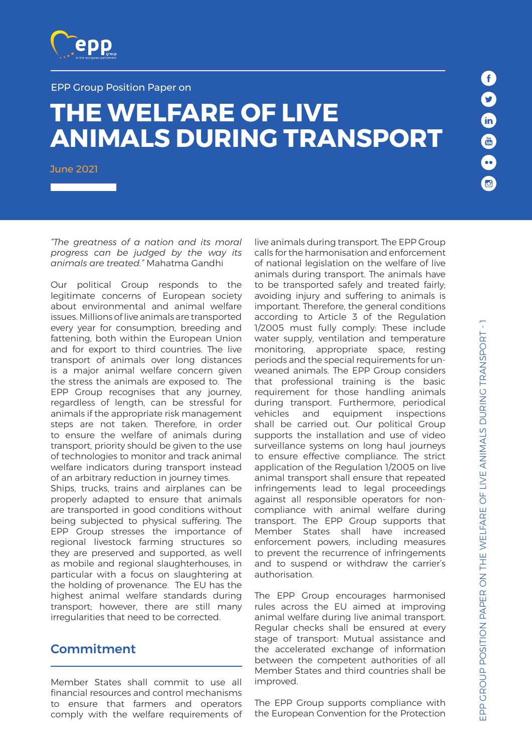

#### EPP Group Position Paper on

# **THE WELFARE OF LIVE ANIMALS DURING TRANSPORT**

June 2021

*"The greatness of a nation and its moral progress can be judged by the way its animals are treated."* Mahatma Gandhi

Our political Group responds to the legitimate concerns of European society about environmental and animal welfare issues. Millions of live animals are transported every year for consumption, breeding and fattening, both within the European Union and for export to third countries. The live transport of animals over long distances is a major animal welfare concern given the stress the animals are exposed to. The EPP Group recognises that any journey, regardless of length, can be stressful for animals if the appropriate risk management steps are not taken. Therefore, in order to ensure the welfare of animals during transport, priority should be given to the use of technologies to monitor and track animal welfare indicators during transport instead of an arbitrary reduction in journey times.

Ships, trucks, trains and airplanes can be properly adapted to ensure that animals are transported in good conditions without being subjected to physical suffering. The EPP Group stresses the importance of regional livestock farming structures so they are preserved and supported, as well as mobile and regional slaughterhouses, in particular with a focus on slaughtering at the holding of provenance. The EU has the highest animal welfare standards during transport; however, there are still many irregularities that need to be corrected.

#### Commitment

Member States shall commit to use all financial resources and control mechanisms to ensure that farmers and operators comply with the welfare requirements of live animals during transport. The EPP Group calls for the harmonisation and enforcement of national legislation on the welfare of live animals during transport. The animals have to be transported safely and treated fairly; avoiding injury and suffering to animals is important. Therefore, the general conditions according to Article 3 of the Regulation 1/2005 must fully comply: These include water supply, ventilation and temperature monitoring, appropriate space, resting periods and the special requirements for unweaned animals. The EPP Group considers that professional training is the basic requirement for those handling animals during transport. Furthermore, periodical vehicles and equipment inspections shall be carried out. Our political Group supports the installation and use of video surveillance systems on long haul journeys to ensure effective compliance. The strict application of the Regulation 1/2005 on live animal transport shall ensure that repeated infringements lead to legal proceedings against all responsible operators for noncompliance with animal welfare during transport. The EPP Group supports that Member States shall have increased enforcement powers, including measures to prevent the recurrence of infringements and to suspend or withdraw the carrier's authorisation.

The EPP Group encourages harmonised rules across the EU aimed at improving animal welfare during live animal transport. Regular checks shall be ensured at every stage of transport: Mutual assistance and the accelerated exchange of information between the competent authorities of all Member States and third countries shall be improved.

The EPP Group supports compliance with the European Convention for the Protection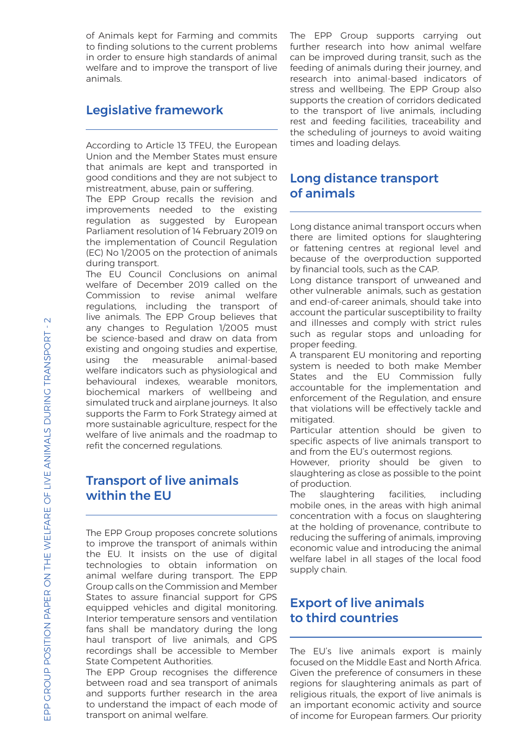of Animals kept for Farming and commits to finding solutions to the current problems in order to ensure high standards of animal welfare and to improve the transport of live animals.

# Legislative framework

According to Article 13 TFEU, the European Union and the Member States must ensure that animals are kept and transported in good conditions and they are not subject to mistreatment, abuse, pain or suffering.

The EPP Group recalls the revision and improvements needed to the existing regulation as suggested by European Parliament resolution of 14 February 2019 on the implementation of Council Regulation (EC) No 1/2005 on the protection of animals during transport.

The EU Council Conclusions on animal welfare of December 2019 called on the Commission to revise animal welfare regulations, including the transport of live animals. The EPP Group believes that any changes to Regulation 1/2005 must be science-based and draw on data from existing and ongoing studies and expertise, using the measurable animal-based welfare indicators such as physiological and behavioural indexes, wearable monitors, biochemical markers of wellbeing and simulated truck and airplane journeys. It also supports the Farm to Fork Strategy aimed at more sustainable agriculture, respect for the welfare of live animals and the roadmap to refit the concerned regulations.

### Transport of live animals within the EU

The EPP Group proposes concrete solutions to improve the transport of animals within the EU. It insists on the use of digital technologies to obtain information on animal welfare during transport. The EPP Group calls on the Commission and Member States to assure financial support for GPS equipped vehicles and digital monitoring. Interior temperature sensors and ventilation fans shall be mandatory during the long haul transport of live animals, and GPS recordings shall be accessible to Member State Competent Authorities.

The EPP Group recognises the difference between road and sea transport of animals and supports further research in the area to understand the impact of each mode of transport on animal welfare.

The EPP Group supports carrying out further research into how animal welfare can be improved during transit, such as the feeding of animals during their journey, and research into animal-based indicators of stress and wellbeing. The EPP Group also supports the creation of corridors dedicated to the transport of live animals, including rest and feeding facilities, traceability and the scheduling of journeys to avoid waiting times and loading delays.

#### Long distance transport of animals

Long distance animal transport occurs when there are limited options for slaughtering or fattening centres at regional level and because of the overproduction supported by financial tools, such as the CAP.

Long distance transport of unweaned and other vulnerable animals, such as gestation and end-of-career animals, should take into account the particular susceptibility to frailty and illnesses and comply with strict rules such as regular stops and unloading for proper feeding.

A transparent EU monitoring and reporting system is needed to both make Member States and the EU Commission fully accountable for the implementation and enforcement of the Regulation, and ensure that violations will be effectively tackle and mitigated.

Particular attention should be given to specific aspects of live animals transport to and from the EU's outermost regions.

However, priority should be given to slaughtering as close as possible to the point of production.

The slaughtering facilities, including mobile ones, in the areas with high animal concentration with a focus on slaughtering at the holding of provenance, contribute to reducing the suffering of animals, improving economic value and introducing the animal welfare label in all stages of the local food supply chain.

## Export of live animals to third countries

The EU's live animals export is mainly focused on the Middle East and North Africa. Given the preference of consumers in these regions for slaughtering animals as part of religious rituals, the export of live animals is an important economic activity and source of income for European farmers. Our priority